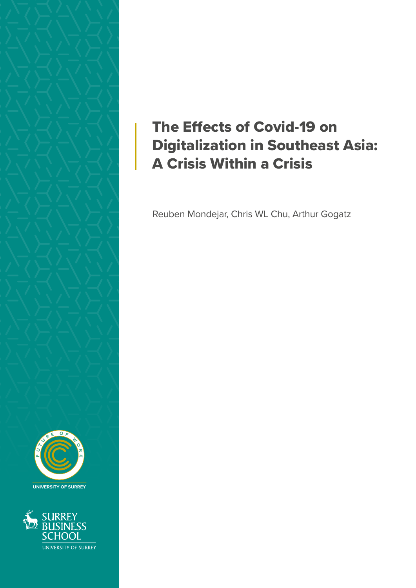



SURREY<br>BUSINESS SCHOOI UNIVERSITY OF SURREY

## The Effects of Covid-19 on Digitalization in Southeast Asia: A Crisis Within a Crisis

Reuben Mondejar, Chris WL Chu, Arthur Gogatz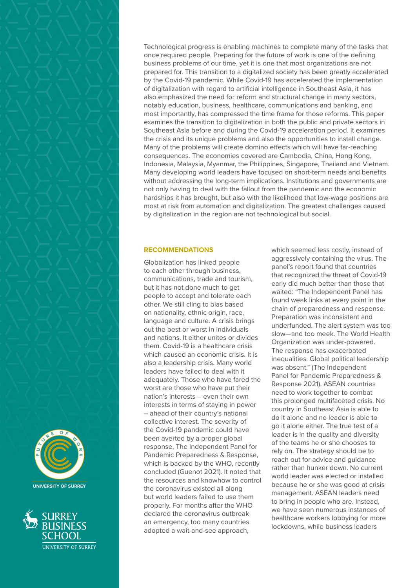





Technological progress is enabling machines to complete many of the tasks that once required people. Preparing for the future of work is one of the defining business problems of our time, yet it is one that most organizations are not prepared for. This transition to a digitalized society has been greatly accelerated by the Covid-19 pandemic. While Covid-19 has accelerated the implementation of digitalization with regard to artificial intelligence in Southeast Asia, it has also emphasized the need for reform and structural change in many sectors, notably education, business, healthcare, communications and banking, and most importantly, has compressed the time frame for those reforms. This paper examines the transition to digitalization in both the public and private sectors in Southeast Asia before and during the Covid-19 acceleration period. It examines the crisis and its unique problems and also the opportunities to install change. Many of the problems will create domino effects which will have far-reaching consequences. The economies covered are Cambodia, China, Hong Kong, Indonesia, Malaysia, Myanmar, the Philippines, Singapore, Thailand and Vietnam. Many developing world leaders have focused on short-term needs and benefits without addressing the long-term implications. Institutions and governments are not only having to deal with the fallout from the pandemic and the economic hardships it has brought, but also with the likelihood that low-wage positions are most at risk from automation and digitalization. The greatest challenges caused by digitalization in the region are not technological but social.

## **RECOMMENDATIONS**

Globalization has linked people to each other through business, communications, trade and tourism, but it has not done much to get people to accept and tolerate each other. We still cling to bias based on nationality, ethnic origin, race, language and culture. A crisis brings out the best or worst in individuals and nations. It either unites or divides them. Covid-19 is a healthcare crisis which caused an economic crisis. It is also a leadership crisis. Many world leaders have failed to deal with it adequately. Those who have fared the worst are those who have put their nation's interests – even their own interests in terms of staying in power – ahead of their country's national collective interest. The severity of the Covid-19 pandemic could have been averted by a proper global response, The Independent Panel for Pandemic Preparedness & Response, which is backed by the WHO, recently concluded (Guenot 2021). It noted that the resources and knowhow to control the coronavirus existed all along but world leaders failed to use them properly. For months after the WHO declared the coronavirus outbreak an emergency, too many countries adopted a wait-and-see approach,

which seemed less costly, instead of aggressively containing the virus. The panel's report found that countries that recognized the threat of Covid-19 early did much better than those that waited: "The Independent Panel has found weak links at every point in the chain of preparedness and response. Preparation was inconsistent and underfunded. The alert system was too slow—and too meek. The World Health Organization was under-powered. The response has exacerbated inequalities. Global political leadership was absent." (The Independent Panel for Pandemic Preparedness & Response 2021). ASEAN countries need to work together to combat this prolonged multifaceted crisis. No country in Southeast Asia is able to do it alone and no leader is able to go it alone either. The true test of a leader is in the quality and diversity of the teams he or she chooses to rely on. The strategy should be to reach out for advice and guidance rather than hunker down. No current world leader was elected or installed because he or she was good at crisis management. ASEAN leaders need to bring in people who are. Instead, we have seen numerous instances of healthcare workers lobbying for more lockdowns, while business leaders